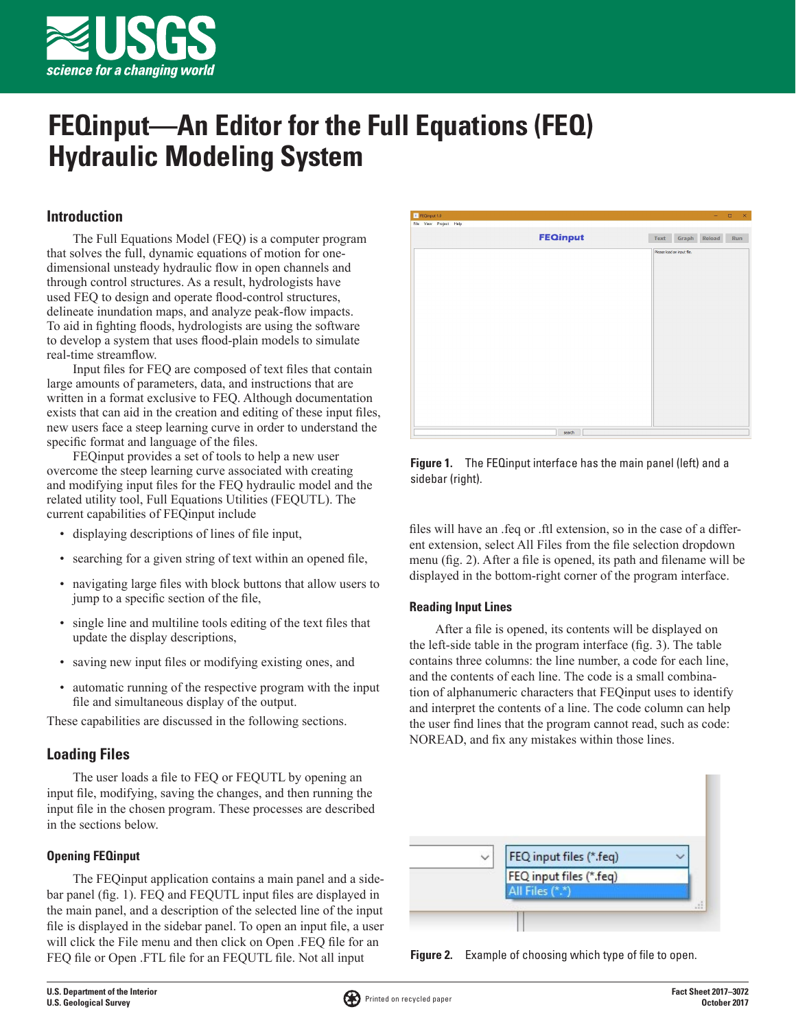

# **FEQinput—An Editor for the Full Equations (FEQ) Hydraulic Modeling System**

# **Introduction**

The Full Equations Model (FEQ) is a computer program that solves the full, dynamic equations of motion for onedimensional unsteady hydraulic flow in open channels and through control structures. As a result, hydrologists have used FEQ to design and operate flood-control structures, delineate inundation maps, and analyze peak-flow impacts. To aid in fighting floods, hydrologists are using the software to develop a system that uses flood-plain models to simulate real-time streamflow.

Input files for FEQ are composed of text files that contain large amounts of parameters, data, and instructions that are written in a format exclusive to FEQ. Although documentation exists that can aid in the creation and editing of these input files, new users face a steep learning curve in order to understand the specific format and language of the files.

FEQinput provides a set of tools to help a new user overcome the steep learning curve associated with creating and modifying input files for the FEQ hydraulic model and the related utility tool, Full Equations Utilities (FEQUTL). The current capabilities of FEQinput include

- displaying descriptions of lines of file input,
- searching for a given string of text within an opened file,
- navigating large files with block buttons that allow users to jump to a specific section of the file,
- single line and multiline tools editing of the text files that update the display descriptions,
- saving new input files or modifying existing ones, and
- automatic running of the respective program with the input file and simultaneous display of the output.

These capabilities are discussed in the following sections.

# **Loading Files**

The user loads a file to FEQ or FEQUTL by opening an input file, modifying, saving the changes, and then running the input file in the chosen program. These processes are described in the sections below.

# **Opening FEQinput**

The FEQinput application contains a main panel and a sidebar panel (fig. 1). FEQ and FEQUTL input files are displayed in the main panel, and a description of the selected line of the input file is displayed in the sidebar panel. To open an input file, a user will click the File menu and then click on Open .FEQ file for an FEQ file or Open .FTL file for an FEQUTL file. Not all input

| <b>I</b> FEQinput 1.0  |                 | $\qquad \qquad \Box \qquad \times$<br>$\sim$ $-$ |
|------------------------|-----------------|--------------------------------------------------|
| File View Project Help |                 |                                                  |
|                        | <b>FEQinput</b> | Graph Reload<br>Text<br>Run                      |
|                        |                 | Please load an input file.                       |
|                        |                 |                                                  |
|                        |                 |                                                  |
|                        |                 |                                                  |
|                        |                 |                                                  |
|                        |                 |                                                  |
|                        |                 |                                                  |
|                        |                 |                                                  |
|                        |                 |                                                  |
|                        |                 |                                                  |
|                        |                 |                                                  |
|                        |                 |                                                  |
|                        |                 |                                                  |
|                        |                 |                                                  |
|                        |                 |                                                  |
|                        | search          |                                                  |

**Figure 1.** The FEQinput interface has the main panel (left) and a sidebar (right).

files will have an .feq or .ftl extension, so in the case of a different extension, select All Files from the file selection dropdown menu (fig. 2). After a file is opened, its path and filename will be displayed in the bottom-right corner of the program interface.

## **Reading Input Lines**

After a file is opened, its contents will be displayed on the left-side table in the program interface (fig. 3). The table contains three columns: the line number, a code for each line, and the contents of each line. The code is a small combination of alphanumeric characters that FEQinput uses to identify and interpret the contents of a line. The code column can help the user find lines that the program cannot read, such as code: NOREAD, and fix any mistakes within those lines.



**Figure 2.** Example of choosing which type of file to open.

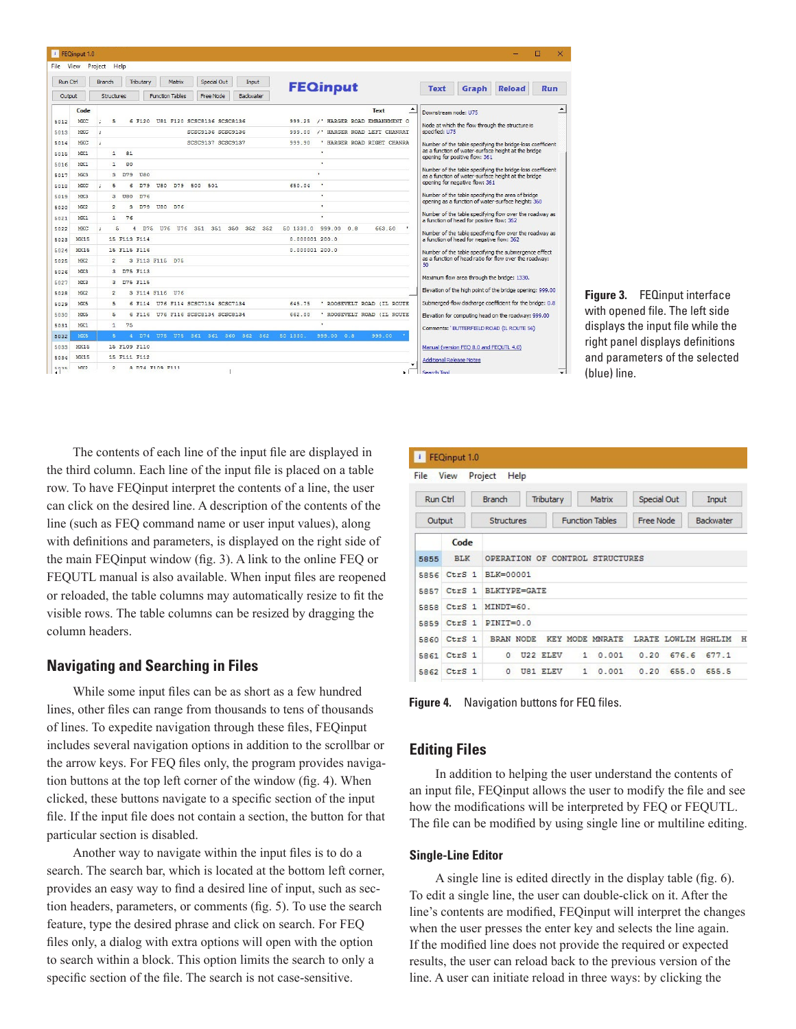| File:    | <b>View</b>     | Project Help                                                                 |                                       |                                                                                                         |  |  |  |  |  |
|----------|-----------------|------------------------------------------------------------------------------|---------------------------------------|---------------------------------------------------------------------------------------------------------|--|--|--|--|--|
| Run Ctrl |                 | Special Out<br>Tributary<br><b>Branch</b><br>Matrix<br>Input                 | <b>FEQinput</b>                       | Graph<br><b>Reload</b><br><b>Text</b><br>Run                                                            |  |  |  |  |  |
| Output   |                 | <b>Structures</b><br><b>Function Tables</b><br>Free Node<br><b>Backwater</b> |                                       |                                                                                                         |  |  |  |  |  |
|          | Code            |                                                                              | $\hat{=}$<br>Text                     | Downstream node: U75                                                                                    |  |  |  |  |  |
| 5012     | MXC             | 5<br>6 F120 U81 F120 SCSC8136 SCSC8136                                       | 999.25 /' HARGER ROAD EMBANKMENT O    | Node at which the flow through the structure is                                                         |  |  |  |  |  |
| 5013     | MXC             | SCSC9136 SCSC9136<br>÷                                                       | /' HARGER ROAD LEFT CHANRAT<br>999.00 | specified: U75                                                                                          |  |  |  |  |  |
| 5014     | MXC             | SCSC9137 SCSC9137                                                            | HARGER ROAD RIGHT CHANRA<br>999.90    | Number of the table specifying the bridge-loss coefficient                                              |  |  |  |  |  |
| 5015     | MX <sub>1</sub> | $\ddot{\mathbf{1}}$<br>81                                                    | $\mathbf{r}$                          | as a function of water-surface height at the bridge<br>opening for positive flow: 361                   |  |  |  |  |  |
| 5016     | MX1             | 80<br>$\mathbf{1}$                                                           | $\alpha$                              | Number of the table specifying the bridge-loss coefficient                                              |  |  |  |  |  |
| 5017     | MX3             | $\mathbf{R}$<br>D79<br>U80                                                   |                                       | as a function of water-surface height at the bridge                                                     |  |  |  |  |  |
| 5018     | MXC             | 5<br>U80 D79 500 501<br>6.<br>D79                                            | $\mathbf{r}$<br>650.04                | opening for negative flow: 361                                                                          |  |  |  |  |  |
| 5019     | MX3             | з<br>$TBA$ $D76$                                                             | $\blacksquare$                        | Number of the table specifying the area of bridge<br>opening as a function of water-surface height: 360 |  |  |  |  |  |
| 5020     | MX2             | $\mathcal{L}$<br>3 D79 U80 D76                                               | $\bullet$                             |                                                                                                         |  |  |  |  |  |
| 5021     | MX1             | $\mathbf{1}$<br>76                                                           | ×.                                    | Number of the table specifying flow over the roadway as<br>a function of head for positive flow: 362    |  |  |  |  |  |
| 5022     | MXC             | 5<br>D75 U76 U76 351 351 350 352 352<br>4                                    | 0.8<br>663 50<br>50 1330.0<br>999.00  | Number of the table specifying flow over the roadway as                                                 |  |  |  |  |  |
| 5023     | <b>MX15</b>     | 15 F113 F114                                                                 | 0.000001200.0                         | a function of head for negative flow: 362                                                               |  |  |  |  |  |
| 5024     | <b>MX15</b>     | 15 F115 F116                                                                 | 0.000001200.0                         | Number of the table specifying the submergence effect                                                   |  |  |  |  |  |
| 5025     | MX2             | $\mathcal{L}$<br>3 F113 F115 D75                                             |                                       | as a function of head ratio for flow over the roadway:<br>50                                            |  |  |  |  |  |
| 5026     | MX3             | 3 D75 F113                                                                   |                                       | Maximum flow area through the bridge: 1330.                                                             |  |  |  |  |  |
| 5027     | MX3             | D75 F115<br>$\mathbf{a}$                                                     |                                       |                                                                                                         |  |  |  |  |  |
| 5028     | MX2             | $\mathcal{D}$<br>3 F114 F116 U76                                             |                                       | Elevation of the high point of the bridge opening: 999.00                                               |  |  |  |  |  |
| 5029     | MX5             | 5<br>6 F114 H76 F114 SCSC7134 SCSC7134                                       | 645 75<br>' ROOSEVELT ROAD (IL ROUTE  | Submerged-flow discharge coefficient for the bridge: 0.8                                                |  |  |  |  |  |
| 5030     | MX5             | 5<br>6 F116 U76 F116 SCSC8134 SCSC8134                                       | 662.00<br>ROOSEVELT ROAD (IL ROUTE    | Elevation for computing head on the roadway: 999.00                                                     |  |  |  |  |  |
| 5031     | MX1             | $\mathbf{1}$<br>75                                                           | $\mathbf{r}$                          | Comments: 'BUTTERFIELD ROAD (IL ROUTE 56)                                                               |  |  |  |  |  |
| 5032     | MX5             | 5<br>4 D74 U75 U75 361 361 360 362 362                                       | 999.00<br>50 1330.<br>999.00 0.8      |                                                                                                         |  |  |  |  |  |
| 5033     | <b>MX15</b>     | 15 F109 F110                                                                 |                                       | Manual (version FEO 8.0 and FEOUTL 4.0)                                                                 |  |  |  |  |  |
| 5034     | <b>MX15</b>     | 15 F111 F112                                                                 |                                       | <b>Additional Release Notes</b>                                                                         |  |  |  |  |  |



The contents of each line of the input file are displayed in the third column. Each line of the input file is placed on a table row. To have FEQinput interpret the contents of a line, the user can click on the desired line. A description of the contents of the line (such as FEQ command name or user input values), along with definitions and parameters, is displayed on the right side of the main FEQinput window (fig. 3). A link to the online FEQ or FEQUTL manual is also available. When input files are reopened or reloaded, the table columns may automatically resize to fit the visible rows. The table columns can be resized by dragging the column headers.

## **Navigating and Searching in Files**

While some input files can be as short as a few hundred lines, other files can range from thousands to tens of thousands of lines. To expedite navigation through these files, FEQinput includes several navigation options in addition to the scrollbar or the arrow keys. For FEQ files only, the program provides navigation buttons at the top left corner of the window (fig. 4). When clicked, these buttons navigate to a specific section of the input file. If the input file does not contain a section, the button for that particular section is disabled.

Another way to navigate within the input files is to do a search. The search bar, which is located at the bottom left corner, provides an easy way to find a desired line of input, such as section headers, parameters, or comments (fig. 5). To use the search feature, type the desired phrase and click on search. For FEQ files only, a dialog with extra options will open with the option to search within a block. This option limits the search to only a specific section of the file. The search is not case-sensitive.

| $\vert \cdot \vert$ | FEQinput 1.0      |                                 |                        |             |                          |  |  |  |  |  |  |
|---------------------|-------------------|---------------------------------|------------------------|-------------|--------------------------|--|--|--|--|--|--|
| File                | View              | Project<br>Help                 |                        |             |                          |  |  |  |  |  |  |
| Run Ctrl            |                   | <b>Branch</b><br>Tributary      | Matrix                 | Special Out | Input                    |  |  |  |  |  |  |
| Output              |                   | Structures                      | <b>Function Tables</b> | Free Node   | Backwater                |  |  |  |  |  |  |
|                     | Code              |                                 |                        |             |                          |  |  |  |  |  |  |
| 5855                | <b>BLK</b>        | OPERATION OF CONTROL STRUCTURES |                        |             |                          |  |  |  |  |  |  |
| 5856                | CtrS <sub>1</sub> | BLK=00001                       |                        |             |                          |  |  |  |  |  |  |
| 5857                | $Ctrs$ 1          | <b>BLKTYPE=GATE</b>             |                        |             |                          |  |  |  |  |  |  |
| 5858                | CtrS <sub>1</sub> | MINDT=60.                       |                        |             |                          |  |  |  |  |  |  |
| 5859                | CtrS <sub>1</sub> | $PINT=0.0$                      |                        |             |                          |  |  |  |  |  |  |
| 5860                | CtrS <sub>1</sub> | <b>BRAN NODE</b>                | <b>KEY MODE MNRATE</b> |             | LRATE LOWLIM HGHLIM<br>H |  |  |  |  |  |  |
| 5861                | CtrS <sub>1</sub> | U22 ELEV<br>$\Omega$            | 0.001<br>$1^{\circ}$   | 0.20        | 676.6<br>677.1           |  |  |  |  |  |  |
| 5862                | CtrS <sub>1</sub> | $\circ$<br><b>U81 ELEV</b>      | $\mathbf{1}$<br>0.001  | 0.20        | 655.0<br>655.5           |  |  |  |  |  |  |

**Figure 4.** Navigation buttons for FEQ files.

## **Editing Files**

In addition to helping the user understand the contents of an input file, FEQinput allows the user to modify the file and see how the modifications will be interpreted by FEQ or FEQUTL. The file can be modified by using single line or multiline editing.

#### **Single-Line Editor**

A single line is edited directly in the display table (fig. 6). To edit a single line, the user can double-click on it. After the line's contents are modified, FEQinput will interpret the changes when the user presses the enter key and selects the line again. If the modified line does not provide the required or expected results, the user can reload back to the previous version of the line. A user can initiate reload in three ways: by clicking the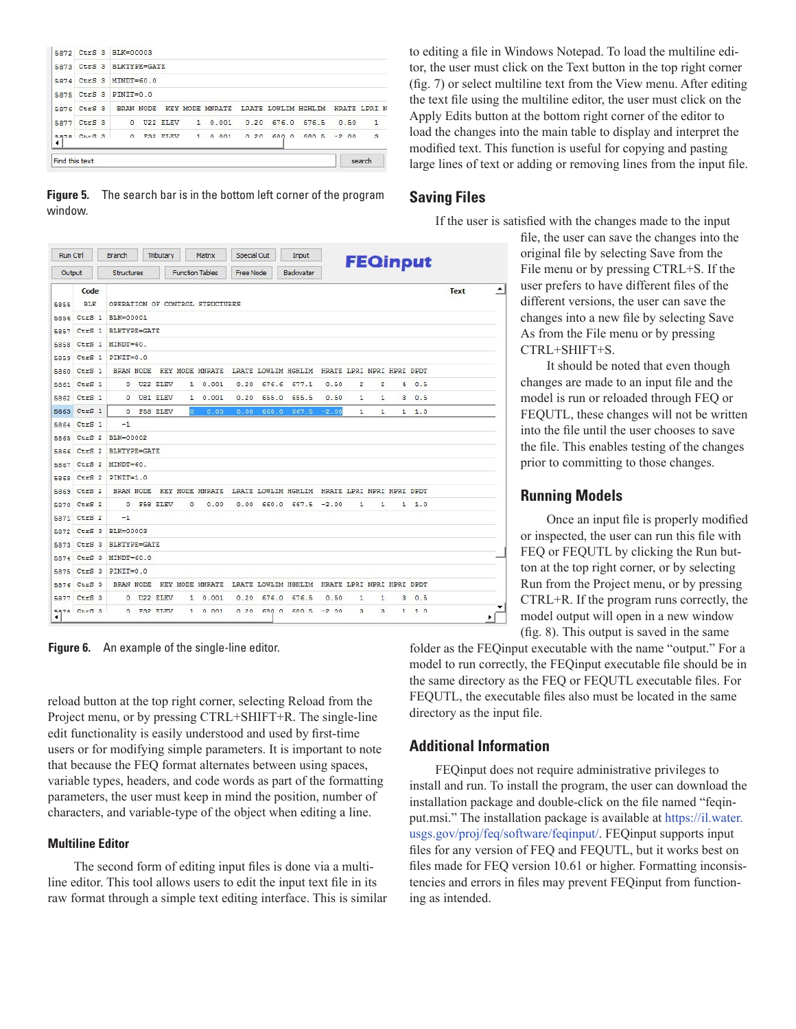| Find this text |             |                          |              |         |      |                                                            |       |  |      | search       |  |
|----------------|-------------|--------------------------|--------------|---------|------|------------------------------------------------------------|-------|--|------|--------------|--|
| ٠              | 5878 CtrS 3 |                          | $0$ F32 FLEV | 10001   | 0.20 | $6800668205 - 200$                                         |       |  |      | $\mathbf{3}$ |  |
|                | 5877 CtrS 3 | $^{\circ}$               | U22 ELEV     | 1 0.001 | 0.20 | 676.0                                                      | 676.5 |  | 0.50 | $\mathbf{1}$ |  |
|                | 5876 CtrS 3 |                          |              |         |      | BRAN NODE KEY MODE MNRATE LRATE LOWLIM HGHLIM HRATE LPRI N |       |  |      |              |  |
|                | 5875 CtrS 3 | $PINTT=0.0$              |              |         |      |                                                            |       |  |      |              |  |
|                | 5874 CtrS 3 | $MINDT=60.0$             |              |         |      |                                                            |       |  |      |              |  |
|                |             | 5873 CtrS 3 BLKTYPE=GATE |              |         |      |                                                            |       |  |      |              |  |
|                |             | 5872 CtrS 3 BLK=00003    |              |         |      |                                                            |       |  |      |              |  |

**Figure 5.** The search bar is in the bottom left corner of the program

to editing a file in Windows Notepad. To load the multiline editor, the user must click on the Text button in the top right corner (fig. 7) or select multiline text from the View menu. After editing the text file using the multiline editor, the user must click on the Apply Edits button at the bottom right corner of the editor to load the changes into the main table to display and interpret the modified text. This function is useful for copying and pasting large lines of text or adding or removing lines from the input file.

# **Saving Files**

If the user is satisfied with the changes made to the input

Run Ctrl Branch Tributary Matrix Special Out Input **FEQinput Function Tables** Free Node Backwater Output Structures ⊡  $Code$ Text OPERATION OF CONTROL STRUCTURES 5855 BLK 5856 CtrS 1 BLK=00001 5857 CtrS 1 BLKTYPE=GATE 5858 CtrS 1 MINDT=60. 5859 CtrS 1 PINIT=0.0 5860 CtrS 1 BRAN NODE KEY MODE MNRATE LRATE LOWLIM HGHLIM HRATE LPRI NPRI HPRI DPDT 5861 CtrS 1  $0$  U22 ELEV  $1 \t 0.001$  $0.20$  676.6 677.1  $0.50$  $\overline{2}$  $\overline{2}$  $40.5$ 5862 CtrS 1  $0$  US1 ELEV  $1, 0, 001$ 0.20 655.0 655.5  $0.50$  $\overline{1}$  $\overline{1}$  $\overline{\mathbf{3}}$  $0.5$ 5863 CtrS 1 0 F58 ELEV  $\mathbf 1$  $\mathbf{1}$  $\mathbf{1}$  $1.0$ 5864 CtrS 1  $-1$ 5865 CtrS 2 BLK=00002 5866 CtrS 2 BLKTYPE=GATE 5867 CtrS 2 MINDT=60. 5868 CtrS 2 PINIT-1.0 5869 CtrS 2 BRAN NODE KEY MODE MNRATE LRATE LOWLIM HGHLIM HRATE LPRI NPRI HPRI DPDT 5870 CtrS 2 0 F58 ELEV 0 0.00 0.00 660.0 667.5 -2.00  $1 \t 1 \t 1.0$ 5871 CtrS 2  $-1$ 5872 CtrS 3 BLK=00003 5873 CtrS 3 BLKTYPE=GATE 5874 CtrS 3 MINDT=60.0 5875 CtrS 3 PINIT=0.0 5876 CtrS 3 BRAN NODE KEY MODE MNRATE LRATE LOWLIM HGHLIM HRATE LPRI NPRI HPRI DPDT  $1 \quad 0.001$ 5877 CtrS 3 0 U22 ELEV 0.20 676.0 676.5  $0.50$  $\mathbf 1$  $\mathbf{1}$  $3 \t 0.5$ Sans Chrs 3  $0$  F32 RT.RV  $1 \quad n \quad n \quad n$ 0 20 680 0 680 5 -2 00  $\mathbb R$  $\ensuremath{\mathbf{3}}$  $1 1 0$ ∗Г

**Figure 6.** An example of the single-line editor.

reload button at the top right corner, selecting Reload from the Project menu, or by pressing CTRL+SHIFT+R. The single-line edit functionality is easily understood and used by first-time users or for modifying simple parameters. It is important to note that because the FEQ format alternates between using spaces, variable types, headers, and code words as part of the formatting parameters, the user must keep in mind the position, number of characters, and variable-type of the object when editing a line.

### **Multiline Editor**

window.

The second form of editing input files is done via a multiline editor. This tool allows users to edit the input text file in its raw format through a simple text editing interface. This is similar file, the user can save the changes into the original file by selecting Save from the File menu or by pressing CTRL+S. If the user prefers to have different files of the different versions, the user can save the changes into a new file by selecting Save As from the File menu or by pressing CTRL+SHIFT+S.

It should be noted that even though changes are made to an input file and the model is run or reloaded through FEQ or FEQUTL, these changes will not be written into the file until the user chooses to save the file. This enables testing of the changes prior to committing to those changes.

# **Running Models**

Once an input file is properly modified or inspected, the user can run this file with FEQ or FEQUTL by clicking the Run button at the top right corner, or by selecting Run from the Project menu, or by pressing CTRL+R. If the program runs correctly, the model output will open in a new window (fig. 8). This output is saved in the same

folder as the FEQinput executable with the name "output." For a model to run correctly, the FEQinput executable file should be in the same directory as the FEQ or FEQUTL executable files. For FEQUTL, the executable files also must be located in the same directory as the input file.

# **Additional Information**

FEQinput does not require administrative privileges to install and run. To install the program, the user can download the installation package and double-click on the file named "feqinput.msi." The installation package is available at [https://il.water.](https://il.water.usgs.gov/proj/feq/software/feqinput/) [usgs.gov/proj/feq/software/feqinput/](https://il.water.usgs.gov/proj/feq/software/feqinput/). FEQinput supports input files for any version of FEQ and FEQUTL, but it works best on files made for FEQ version 10.61 or higher. Formatting inconsistencies and errors in files may prevent FEQinput from functioning as intended.